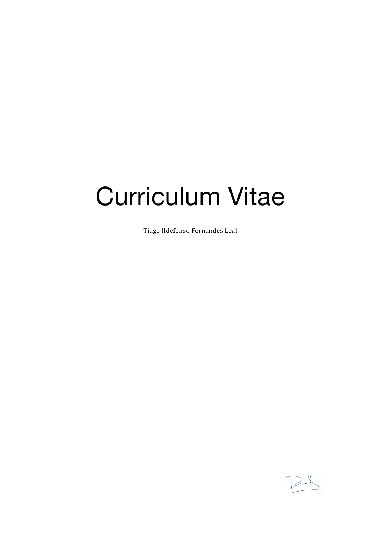## Curriculum Vitae

Tiago Ildefonso Fernandes Leal

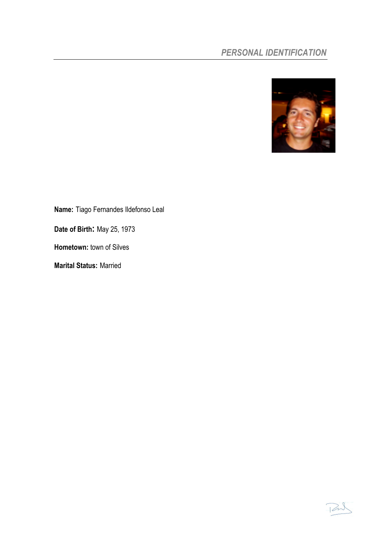## *PERSONAL IDENTIFICATION*



**Name:** Tiago Fernandes Ildefonso Leal

**Date of Birth:** May 25, 1973

**Hometown:** town of Silves

**Marital Status:** Married

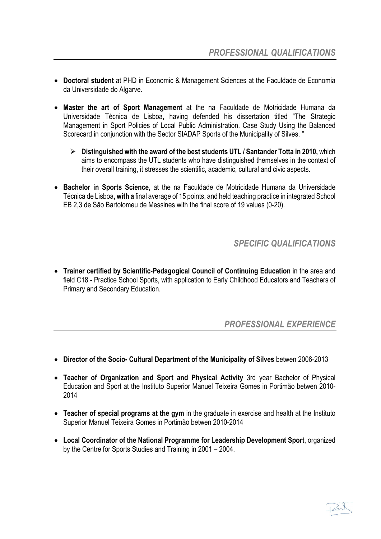- **Doctoral student** at PHD in Economic & Management Sciences at the Faculdade de Economia da Universidade do Algarve.
- **Master the art of Sport Management** at the na Faculdade de Motricidade Humana da Universidade Técnica de Lisboa**,** having defended his dissertation titled "The Strategic Management in Sport Policies of Local Public Administration. Case Study Using the Balanced Scorecard in conjunction with the Sector SIADAP Sports of the Municipality of Silves. "
	- Ø **Distinguished with the award of the best students UTL / Santander Totta in 2010,** which aims to encompass the UTL students who have distinguished themselves in the context of their overall training, it stresses the scientific, academic, cultural and civic aspects.
- **Bachelor in Sports Science,** at the na Faculdade de Motricidade Humana da Universidade Técnica de Lisboa**, with a** final average of 15 points, and held teaching practice in integrated School EB 2,3 de São Bartolomeu de Messines with the final score of 19 values (0-20).

## *SPECIFIC QUALIFICATIONS*

• **Trainer certified by Scientific-Pedagogical Council of Continuing Education** in the area and field C18 - Practice School Sports, with application to Early Childhood Educators and Teachers of Primary and Secondary Education.

## *PROFESSIONAL EXPERIENCE*

- **Director of the Socio- Cultural Department of the Municipality of Silves** betwen 2006-2013
- **Teacher of Organization and Sport and Physical Activity** 3rd year Bachelor of Physical Education and Sport at the Instituto Superior Manuel Teixeira Gomes in Portimão betwen 2010- 2014
- **Teacher of special programs at the gym** in the graduate in exercise and health at the Instituto Superior Manuel Teixeira Gomes in Portimão betwen 2010-2014
- **Local Coordinator of the National Programme for Leadership Development Sport**, organized by the Centre for Sports Studies and Training in 2001 – 2004.